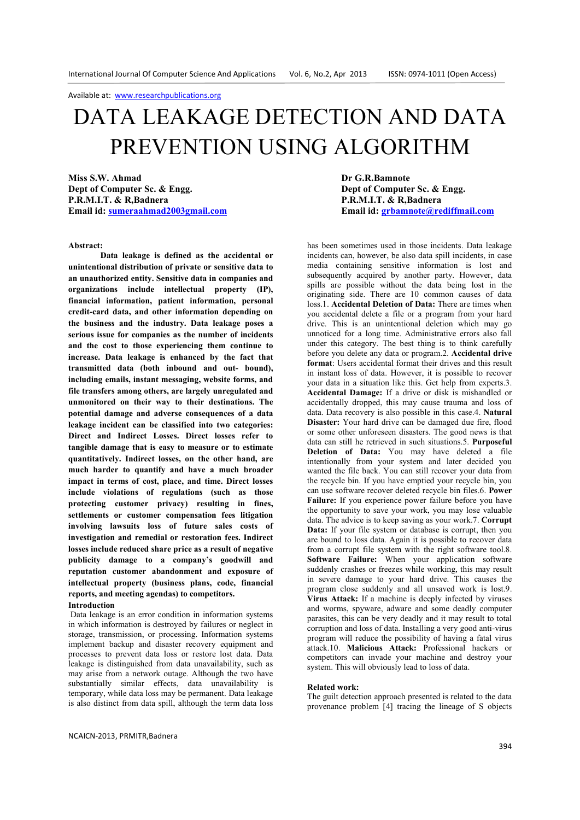# DATA LEAKAGE DETECTION AND DATA PREVENTION USING ALGORITHM

Miss S.W. Ahmad **Dr G.R.Bamnote**<br>
Dent of Computer Sc. & Engg. **Dent of Computer Sc. & Engg. Dept of Computer Sc. & Engg.**<br> **Dept of Computer Sc. & Engg.**<br> **Dept of Computer Sc. & Engg.**<br> **Dept of Computer Sc. & Engg.**<br> **P.R.M.I.T. & R.Badnera Email id: sumeraahmad2003gmail.com Email id: grbamnote@rediffmail.com**

**Abstract:** 

 **Data leakage is defined as the accidental or unintentional distribution of private or sensitive data to an unauthorized entity. Sensitive data in companies and organizations include intellectual property (IP), financial information, patient information, personal credit-card data, and other information depending on the business and the industry. Data leakage poses a serious issue for companies as the number of incidents and the cost to those experiencing them continue to increase. Data leakage is enhanced by the fact that transmitted data (both inbound and out- bound), including emails, instant messaging, website forms, and file transfers among others, are largely unregulated and unmonitored on their way to their destinations. The potential damage and adverse consequences of a data leakage incident can be classified into two categories: Direct and Indirect Losses. Direct losses refer to tangible damage that is easy to measure or to estimate quantitatively. Indirect losses, on the other hand, are much harder to quantify and have a much broader impact in terms of cost, place, and time. Direct losses include violations of regulations (such as those protecting customer privacy) resulting in fines, settlements or customer compensation fees litigation involving lawsuits loss of future sales costs of investigation and remedial or restoration fees. Indirect losses include reduced share price as a result of negative publicity damage to a company's goodwill and reputation customer abandonment and exposure of intellectual property (business plans, code, financial reports, and meeting agendas) to competitors.** 

#### **Introduction**

 Data leakage is an error condition in information systems in which information is destroyed by failures or neglect in storage, transmission, or processing. Information systems implement backup and disaster recovery equipment and processes to prevent data loss or restore lost data. Data leakage is distinguished from data unavailability, such as may arise from a network outage. Although the two have substantially similar effects, data unavailability is temporary, while data loss may be permanent. Data leakage is also distinct from data spill, although the term data loss **P.R.M.I.T. & R,Badnera**<br>**Email id:** *grbamnote@rediffmail.com* 

has been sometimes used in those incidents. Data leakage incidents can, however, be also data spill incidents, in case media containing sensitive information is lost and subsequently acquired by another party. However, data spills are possible without the data being lost in the originating side. There are 10 common causes of data loss.1. **Accidental Deletion of Data:** There are times when you accidental delete a file or a program from your hard drive. This is an unintentional deletion which may go unnoticed for a long time. Administrative errors also fall under this category. The best thing is to think carefully before you delete any data or program.2. **Accidental drive format**: Users accidental format their drives and this result in instant loss of data. However, it is possible to recover your data in a situation like this. Get help from experts.3. **Accidental Damage:** If a drive or disk is mishandled or accidentally dropped, this may cause trauma and loss of data. Data recovery is also possible in this case.4. **Natural Disaster:** Your hard drive can be damaged due fire, flood or some other unforeseen disasters. The good news is that data can still he retrieved in such situations.5. **Purposeful Deletion of Data:** You may have deleted a file intentionally from your system and later decided you wanted the file back. You can still recover your data from the recycle bin. If you have emptied your recycle bin, you can use software recover deleted recycle bin files.6. **Power Failure:** If you experience power failure before you have the opportunity to save your work, you may lose valuable data. The advice is to keep saving as your work.7. **Corrupt Data:** If your file system or database is corrupt, then you are bound to loss data. Again it is possible to recover data from a corrupt file system with the right software tool.8. **Software Failure:** When your application software suddenly crashes or freezes while working, this may result in severe damage to your hard drive. This causes the program close suddenly and all unsaved work is lost.9. **Virus Attack:** If a machine is deeply infected by viruses and worms, spyware, adware and some deadly computer parasites, this can be very deadly and it may result to total corruption and loss of data. Installing a very good anti-virus program will reduce the possibility of having a fatal virus attack.10. **Malicious Attack:** Professional hackers or competitors can invade your machine and destroy your system. This will obviously lead to loss of data.

# **Related work:**

The guilt detection approach presented is related to the data provenance problem [4] tracing the lineage of S objects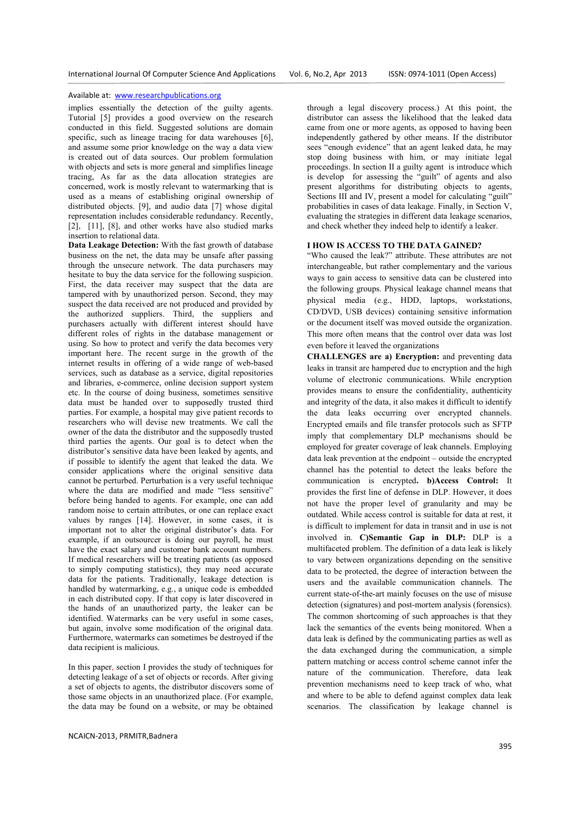implies essentially the detection of the guilty agents. Tutorial [5] provides a good overview on the research conducted in this field. Suggested solutions are domain specific, such as lineage tracing for data warehouses [6], and assume some prior knowledge on the way a data view is created out of data sources. Our problem formulation with objects and sets is more general and simplifies lineage tracing, As far as the data allocation strategies are concerned, work is mostly relevant to watermarking that is used as a means of establishing original ownership of distributed objects. [9], and audio data [7] whose digital representation includes considerable redundancy. Recently, [2], [11], [8], and other works have also studied marks insertion to relational data.

**Data Leakage Detection:** With the fast growth of database business on the net, the data may be unsafe after passing through the unsecure network. The data purchasers may hesitate to buy the data service for the following suspicion. First, the data receiver may suspect that the data are tampered with by unauthorized person. Second, they may suspect the data received are not produced and provided by the authorized suppliers. Third, the suppliers and purchasers actually with different interest should have different roles of rights in the database management or using. So how to protect and verify the data becomes very important here. The recent surge in the growth of the internet results in offering of a wide range of web-based services, such as database as a service, digital repositories and libraries, e-commerce, online decision support system etc. In the course of doing business, sometimes sensitive data must be handed over to supposedly trusted third parties. For example, a hospital may give patient records to researchers who will devise new treatments. We call the owner of the data the distributor and the supposedly trusted third parties the agents. Our goal is to detect when the distributor's sensitive data have been leaked by agents, and if possible to identify the agent that leaked the data. We consider applications where the original sensitive data cannot be perturbed. Perturbation is a very useful technique where the data are modified and made "less sensitive" before being handed to agents. For example, one can add random noise to certain attributes, or one can replace exact values by ranges [14]. However, in some cases, it is important not to alter the original distributor's data. For example, if an outsourcer is doing our payroll, he must have the exact salary and customer bank account numbers. If medical researchers will be treating patients (as opposed to simply computing statistics), they may need accurate data for the patients. Traditionally, leakage detection is handled by watermarking, e.g., a unique code is embedded in each distributed copy. If that copy is later discovered in the hands of an unauthorized party, the leaker can be identified. Watermarks can be very useful in some cases, but again, involve some modification of the original data. Furthermore, watermarks can sometimes be destroyed if the data recipient is malicious.

In this paper, section I provides the study of techniques for detecting leakage of a set of objects or records. After giving a set of objects to agents, the distributor discovers some of those same objects in an unauthorized place. (For example, the data may be found on a website, or may be obtained

NCAICN-2013, PRMITR,Badnera

through a legal discovery process.) At this point, the distributor can assess the likelihood that the leaked data came from one or more agents, as opposed to having been independently gathered by other means. If the distributor sees "enough evidence" that an agent leaked data, he may stop doing business with him, or may initiate legal proceedings. In section II a guilty agent is introduce which is develop for assessing the "guilt" of agents and also present algorithms for distributing objects to agents, Sections III and IV, present a model for calculating "guilt" probabilities in cases of data leakage. Finally, in Section V, evaluating the strategies in different data leakage scenarios, and check whether they indeed help to identify a leaker.

#### **I HOW IS ACCESS TO THE DATA GAINED?**

"Who caused the leak?" attribute. These attributes are not interchangeable, but rather complementary and the various ways to gain access to sensitive data can be clustered into the following groups. Physical leakage channel means that physical media (e.g., HDD, laptops, workstations, CD/DVD, USB devices) containing sensitive information or the document itself was moved outside the organization. This more often means that the control over data was lost even before it leaved the organizations

**CHALLENGES are a) Encryption:** and preventing data leaks in transit are hampered due to encryption and the high volume of electronic communications. While encryption provides means to ensure the confidentiality, authenticity and integrity of the data, it also makes it difficult to identify the data leaks occurring over encrypted channels. Encrypted emails and file transfer protocols such as SFTP imply that complementary DLP mechanisms should be employed for greater coverage of leak channels. Employing data leak prevention at the endpoint – outside the encrypted channel has the potential to detect the leaks before the communication is encrypted**. b)Access Control:** It provides the first line of defense in DLP. However, it does not have the proper level of granularity and may be outdated. While access control is suitable for data at rest, it is difficult to implement for data in transit and in use is not involved in. **C)Semantic Gap in DLP:** DLP is a multifaceted problem. The definition of a data leak is likely to vary between organizations depending on the sensitive data to be protected, the degree of interaction between the users and the available communication channels. The current state-of-the-art mainly focuses on the use of misuse detection (signatures) and post-mortem analysis (forensics). The common shortcoming of such approaches is that they lack the semantics of the events being monitored. When a data leak is defined by the communicating parties as well as the data exchanged during the communication, a simple pattern matching or access control scheme cannot infer the nature of the communication. Therefore, data leak prevention mechanisms need to keep track of who, what and where to be able to defend against complex data leak scenarios. The classification by leakage channel is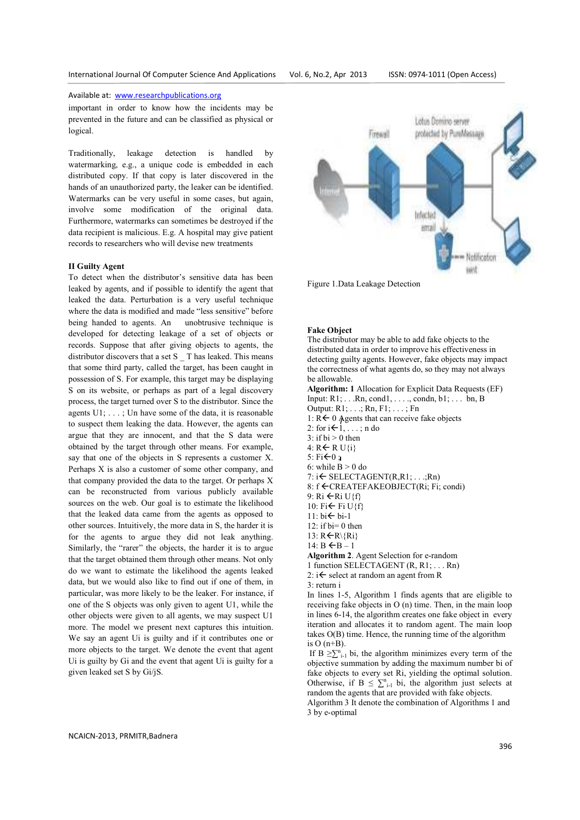important in order to know how the incidents may be prevented in the future and can be classified as physical or logical.

Traditionally, leakage detection is handled by watermarking, e.g., a unique code is embedded in each distributed copy. If that copy is later discovered in the hands of an unauthorized party, the leaker can be identified. Watermarks can be very useful in some cases, but again, involve some modification of the original data. Furthermore, watermarks can sometimes be destroyed if the data recipient is malicious. E.g. A hospital may give patient records to researchers who will devise new treatments

#### **II Guilty Agent**

To detect when the distributor's sensitive data has been leaked by agents, and if possible to identify the agent that leaked the data. Perturbation is a very useful technique where the data is modified and made "less sensitive" before being handed to agents. An unobtrusive technique is developed for detecting leakage of a set of objects or records. Suppose that after giving objects to agents, the distributor discovers that a set S \_ T has leaked. This means that some third party, called the target, has been caught in possession of S. For example, this target may be displaying S on its website, or perhaps as part of a legal discovery process, the target turned over S to the distributor. Since the agents  $UI; \ldots; Un$  have some of the data, it is reasonable to suspect them leaking the data. However, the agents can argue that they are innocent, and that the S data were obtained by the target through other means. For example, say that one of the objects in S represents a customer X. Perhaps X is also a customer of some other company, and that company provided the data to the target. Or perhaps X can be reconstructed from various publicly available sources on the web. Our goal is to estimate the likelihood that the leaked data came from the agents as opposed to other sources. Intuitively, the more data in S, the harder it is for the agents to argue they did not leak anything. Similarly, the "rarer" the objects, the harder it is to argue that the target obtained them through other means. Not only do we want to estimate the likelihood the agents leaked data, but we would also like to find out if one of them, in particular, was more likely to be the leaker. For instance, if one of the S objects was only given to agent U1, while the other objects were given to all agents, we may suspect U1 more. The model we present next captures this intuition. We say an agent Ui is guilty and if it contributes one or more objects to the target. We denote the event that agent Ui is guilty by Gi and the event that agent Ui is guilty for a given leaked set S by Gi/jS.



Figure 1.Data Leakage Detection

# **Fake Object**

The distributor may be able to add fake objects to the distributed data in order to improve his effectiveness in detecting guilty agents. However, fake objects may impact the correctness of what agents do, so they may not always be allowable. **Algorithm: 1** Allocation for Explicit Data Requests (EF) Input: R1; . . .Rn, cond1, . . . ., condn, b1; . . . bn, B Output: R1; . . .; Rn, F1; . . . ; Fn

- 1:  $R \leftarrow 0$  Agents that can receive fake objects
- 2: for  $i\leftarrow 1, \ldots; n$  do
- $3:$  if  $bi > 0$  then
- 4:  $R \leftarrow R$  U{i}
- $5 \cdot$  Fi $\leftarrow$ 0  $\degree$
- 6: while  $B > 0$  do
- 7:  $i \leftarrow$  SELECTAGENT(R,R1; . . .;Rn)
- 8: f CREATEFAKEOBJECT(Ri; Fi; condi)
- 9: Ri  $\leftarrow$ Ri U{f}
- 10: Fi $\leftarrow$  Fi U{f}
- $11: bi \leftarrow bi-1$
- $12$ : if hi= 0 then
- 13:  $R \leftarrow R \setminus \{Ri\}$
- 14:  $B \leftarrow B 1$
- **Algorithm 2**. Agent Selection for e-random
- 1 function SELECTAGENT (R, R1; . . . Rn)
- 2:  $i \leftarrow$  select at random an agent from R

In lines 1-5, Algorithm 1 finds agents that are eligible to receiving fake objects in O (n) time. Then, in the main loop in lines 6-14, the algorithm creates one fake object in every iteration and allocates it to random agent. The main loop takes O(B) time. Hence, the running time of the algorithm is  $O(n+B)$ .

If  $B \geq \sum_{i=1}^{n}$  bi, the algorithm minimizes every term of the objective summation by adding the maximum number bi of fake objects to every set Ri, yielding the optimal solution. Otherwise, if  $B \le \sum_{i=1}^{n}$  bi, the algorithm just selects at random the agents that are provided with fake objects.

Algorithm 3 It denote the combination of Algorithms 1 and 3 by e-optimal

<sup>3:</sup> return i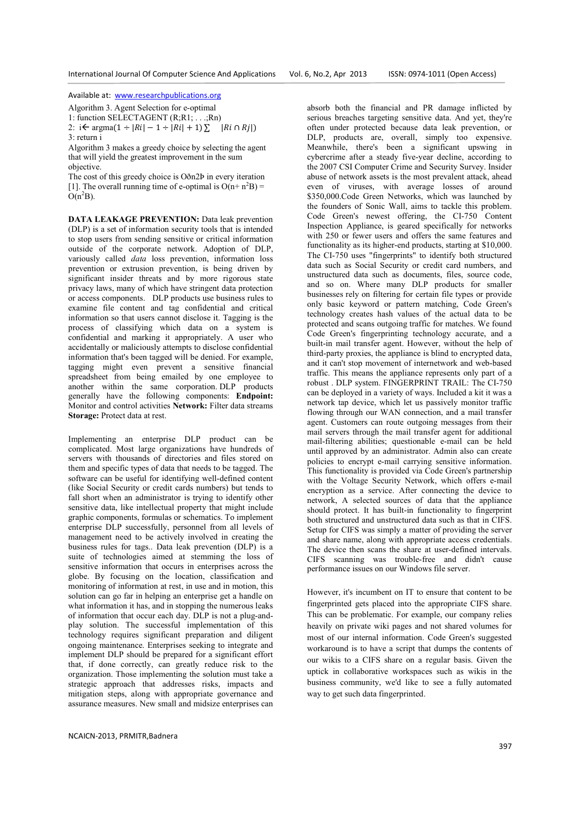Algorithm 3. Agent Selection for e-optimal 1: function SELECTAGENT (R;R1; . . .;Rn)

2:  $i \leftarrow \text{argma}(1 \div |Ri| - 1 \div |Ri| + 1) \sum |Ri \cap Rj|$ 

3: return i

Algorithm 3 makes a greedy choice by selecting the agent that will yield the greatest improvement in the sum objective.

The cost of this greedy choice is Oðn2Þ in every iteration [1]. The overall running time of e-optimal is  $O(n + n^2B)$  =  $O(n^2B)$ .

**DATA LEAKAGE PREVENTION: Data leak prevention** (DLP) is a set of information security tools that is intended to stop users from sending sensitive or critical information outside of the corporate network. Adoption of DLP, variously called *data* loss prevention, information loss prevention or extrusion prevention, is being driven by significant insider threats and by more rigorous state privacy laws, many of which have stringent data protection or access components. DLP products use business rules to examine file content and tag confidential and critical information so that users cannot disclose it. Tagging is the process of classifying which data on a system is confidential and marking it appropriately. A user who accidentally or maliciously attempts to disclose confidential information that's been tagged will be denied. For example, tagging might even prevent a sensitive financial spreadsheet from being emailed by one employee to another within the same corporation. DLP products generally have the following components: **Endpoint:** Monitor and control activities **Network:** Filter data streams **Storage:** Protect data at rest.

Implementing an enterprise DLP product can be complicated. Most large organizations have hundreds of servers with thousands of directories and files stored on them and specific types of data that needs to be tagged. The software can be useful for identifying well-defined content (like Social Security or credit cards numbers) but tends to fall short when an administrator is trying to identify other sensitive data, like intellectual property that might include graphic components, formulas or schematics. To implement enterprise DLP successfully, personnel from all levels of management need to be actively involved in creating the business rules for tags.. Data leak prevention (DLP) is a suite of technologies aimed at stemming the loss of sensitive information that occurs in enterprises across the globe. By focusing on the location, classification and monitoring of information at rest, in use and in motion, this solution can go far in helping an enterprise get a handle on what information it has, and in stopping the numerous leaks of information that occur each day. DLP is not a plug-andplay solution. The successful implementation of this technology requires significant preparation and diligent ongoing maintenance. Enterprises seeking to integrate and implement DLP should be prepared for a significant effort that, if done correctly, can greatly reduce risk to the organization. Those implementing the solution must take a strategic approach that addresses risks, impacts and mitigation steps, along with appropriate governance and assurance measures. New small and midsize enterprises can

NCAICN-2013, PRMITR,Badnera

absorb both the financial and PR damage inflicted by serious breaches targeting sensitive data. And yet, they're often under protected because data leak prevention, or DLP, products are, overall, simply too expensive. Meanwhile, there's been a significant upswing in cybercrime after a steady five-year decline, according to the 2007 CSI Computer Crime and Security Survey. Insider abuse of network assets is the most prevalent attack, ahead even of viruses, with average losses of around \$350,000.Code Green Networks, which was launched by the founders of Sonic Wall, aims to tackle this problem. Code Green's newest offering, the CI-750 Content Inspection Appliance, is geared specifically for networks with 250 or fewer users and offers the same features and functionality as its higher-end products, starting at \$10,000. The CI-750 uses "fingerprints" to identify both structured data such as Social Security or credit card numbers, and unstructured data such as documents, files, source code, and so on. Where many DLP products for smaller businesses rely on filtering for certain file types or provide only basic keyword or pattern matching, Code Green's technology creates hash values of the actual data to be protected and scans outgoing traffic for matches. We found Code Green's fingerprinting technology accurate, and a built-in mail transfer agent. However, without the help of third-party proxies, the appliance is blind to encrypted data, and it can't stop movement of internetwork and web-based traffic. This means the appliance represents only part of a robust . DLP system. FINGERPRINT TRAIL: The CI-750 can be deployed in a variety of ways. Included a kit it was a network tap device, which let us passively monitor traffic flowing through our WAN connection, and a mail transfer agent. Customers can route outgoing messages from their mail servers through the mail transfer agent for additional mail-filtering abilities; questionable e-mail can be held until approved by an administrator. Admin also can create policies to encrypt e-mail carrying sensitive information. This functionality is provided via Code Green's partnership with the Voltage Security Network, which offers e-mail encryption as a service. After connecting the device to network, A selected sources of data that the appliance should protect. It has built-in functionality to fingerprint both structured and unstructured data such as that in CIFS. Setup for CIFS was simply a matter of providing the server and share name, along with appropriate access credentials. The device then scans the share at user-defined intervals. CIFS scanning was trouble-free and didn't cause performance issues on our Windows file server.

However, it's incumbent on IT to ensure that content to be fingerprinted gets placed into the appropriate CIFS share. This can be problematic. For example, our company relies heavily on private wiki pages and not shared volumes for most of our internal information. Code Green's suggested workaround is to have a script that dumps the contents of our wikis to a CIFS share on a regular basis. Given the uptick in collaborative workspaces such as wikis in the business community, we'd like to see a fully automated way to get such data fingerprinted.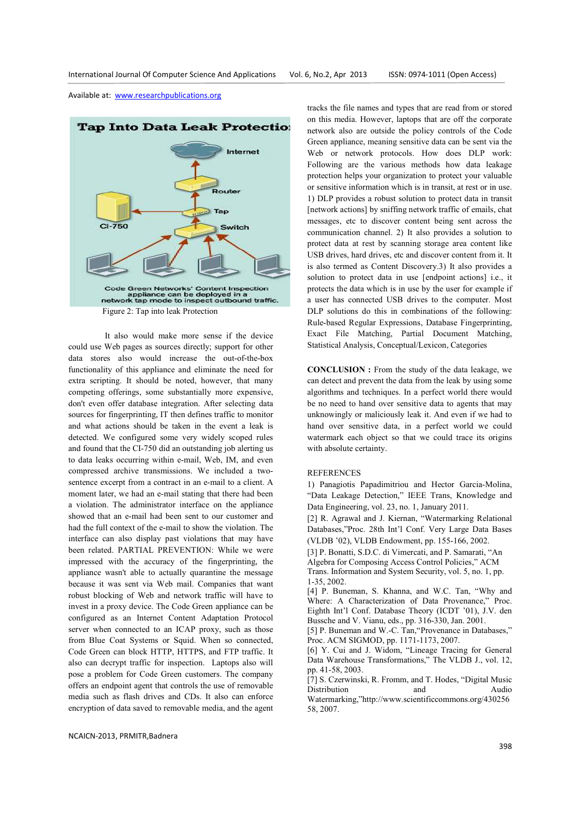

Figure 2: Tap into leak Protection

 It also would make more sense if the device could use Web pages as sources directly; support for other data stores also would increase the out-of-the-box functionality of this appliance and eliminate the need for extra scripting. It should be noted, however, that many competing offerings, some substantially more expensive, don't even offer database integration. After selecting data sources for fingerprinting, IT then defines traffic to monitor and what actions should be taken in the event a leak is detected. We configured some very widely scoped rules and found that the CI-750 did an outstanding job alerting us to data leaks occurring within e-mail, Web, IM, and even compressed archive transmissions. We included a twosentence excerpt from a contract in an e-mail to a client. A moment later, we had an e-mail stating that there had been a violation. The administrator interface on the appliance showed that an e-mail had been sent to our customer and had the full context of the e-mail to show the violation. The interface can also display past violations that may have been related. PARTIAL PREVENTION: While we were impressed with the accuracy of the fingerprinting, the appliance wasn't able to actually quarantine the message because it was sent via Web mail. Companies that want robust blocking of Web and network traffic will have to invest in a proxy device. The Code Green appliance can be configured as an Internet Content Adaptation Protocol server when connected to an ICAP proxy, such as those from Blue Coat Systems or Squid. When so connected, Code Green can block HTTP, HTTPS, and FTP traffic. It also can decrypt traffic for inspection. Laptops also will pose a problem for Code Green customers. The company offers an endpoint agent that controls the use of removable media such as flash drives and CDs. It also can enforce encryption of data saved to removable media, and the agent tracks the file names and types that are read from or stored on this media. However, laptops that are off the corporate network also are outside the policy controls of the Code Green appliance, meaning sensitive data can be sent via the Web or network protocols. How does DLP work: Following are the various methods how data leakage protection helps your organization to protect your valuable or sensitive information which is in transit, at rest or in use. 1) DLP provides a robust solution to protect data in transit [network actions] by sniffing network traffic of emails, chat messages, etc to discover content being sent across the communication channel. 2) It also provides a solution to protect data at rest by scanning storage area content like USB drives, hard drives, etc and discover content from it. It is also termed as Content Discovery.3) It also provides a solution to protect data in use [endpoint actions] i.e., it protects the data which is in use by the user for example if a user has connected USB drives to the computer. Most DLP solutions do this in combinations of the following: Rule-based Regular Expressions, Database Fingerprinting, Exact File Matching, Partial Document Matching, Statistical Analysis, Conceptual/Lexicon, Categories

**CONCLUSION :** From the study of the data leakage, we can detect and prevent the data from the leak by using some algorithms and techniques. In a perfect world there would be no need to hand over sensitive data to agents that may unknowingly or maliciously leak it. And even if we had to hand over sensitive data, in a perfect world we could watermark each object so that we could trace its origins with absolute certainty.

### **REFERENCES**

1) Panagiotis Papadimitriou and Hector Garcia-Molina, "Data Leakage Detection," IEEE Trans, Knowledge and Data Engineering, vol. 23, no. 1, January 2011.

[2] R. Agrawal and J. Kiernan, "Watermarking Relational Databases,"Proc. 28th Int'l Conf. Very Large Data Bases (VLDB '02), VLDB Endowment, pp. 155-166, 2002.

[3] P. Bonatti, S.D.C. di Vimercati, and P. Samarati, "An Algebra for Composing Access Control Policies," ACM

Trans. Information and System Security, vol. 5, no. 1, pp. 1-35, 2002.

[4] P. Buneman, S. Khanna, and W.C. Tan, "Why and Where: A Characterization of Data Provenance," Proc. Eighth Int'l Conf. Database Theory (ICDT '01), J.V. den Bussche and V. Vianu, eds., pp. 316-330, Jan. 2001.

[5] P. Buneman and W.-C. Tan,"Provenance in Databases," Proc. ACM SIGMOD, pp. 1171-1173, 2007.

[6] Y. Cui and J. Widom, "Lineage Tracing for General Data Warehouse Transformations," The VLDB J., vol. 12, pp. 41-58, 2003.

[7] S. Czerwinski, R. Fromm, and T. Hodes, "Digital Music Distribution and Audio Watermarking,"http://www.scientificcommons.org/430256 58, 2007.